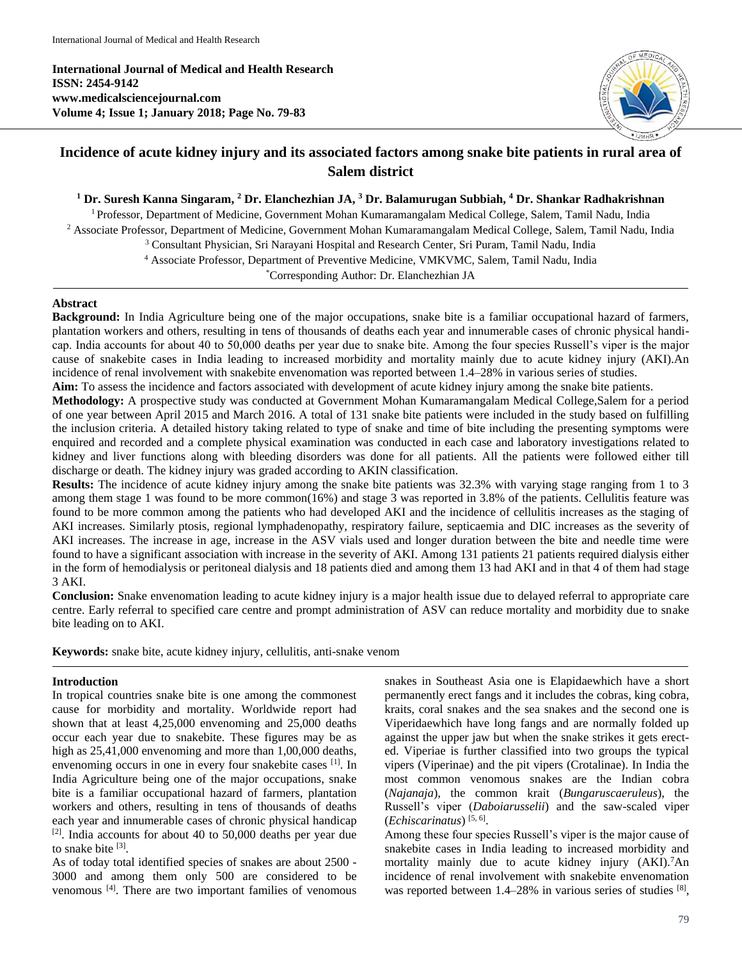**International Journal of Medical and Health Research ISSN: 2454-9142 www.medicalsciencejournal.com Volume 4; Issue 1; January 2018; Page No. 79-83**



# **Incidence of acute kidney injury and its associated factors among snake bite patients in rural area of Salem district**

**<sup>1</sup> Dr. Suresh Kanna Singaram, <sup>2</sup> Dr. Elanchezhian JA, <sup>3</sup> Dr. Balamurugan Subbiah, <sup>4</sup> Dr. Shankar Radhakrishnan**

<sup>1</sup> Professor, Department of Medicine, Government Mohan Kumaramangalam Medical College, Salem, Tamil Nadu, India <sup>2</sup> Associate Professor, Department of Medicine, Government Mohan Kumaramangalam Medical College, Salem, Tamil Nadu, India <sup>3</sup> Consultant Physician, Sri Narayani Hospital and Research Center, Sri Puram, Tamil Nadu, India <sup>4</sup> Associate Professor, Department of Preventive Medicine, VMKVMC, Salem, Tamil Nadu, India \*Corresponding Author: Dr. Elanchezhian JA

## **Abstract**

**Background:** In India Agriculture being one of the major occupations, snake bite is a familiar occupational hazard of farmers, plantation workers and others, resulting in tens of thousands of deaths each year and innumerable cases of chronic physical handicap. India accounts for about 40 to 50,000 deaths per year due to snake bite. Among the four species Russell's viper is the major cause of snakebite cases in India leading to increased morbidity and mortality mainly due to acute kidney injury (AKI).An incidence of renal involvement with snakebite envenomation was reported between 1.4–28% in various series of studies.

**Aim:** To assess the incidence and factors associated with development of acute kidney injury among the snake bite patients.

**Methodology:** A prospective study was conducted at Government Mohan Kumaramangalam Medical College,Salem for a period of one year between April 2015 and March 2016. A total of 131 snake bite patients were included in the study based on fulfilling the inclusion criteria. A detailed history taking related to type of snake and time of bite including the presenting symptoms were enquired and recorded and a complete physical examination was conducted in each case and laboratory investigations related to kidney and liver functions along with bleeding disorders was done for all patients. All the patients were followed either till discharge or death. The kidney injury was graded according to AKIN classification.

**Results:** The incidence of acute kidney injury among the snake bite patients was 32.3% with varying stage ranging from 1 to 3 among them stage 1 was found to be more common(16%) and stage 3 was reported in 3.8% of the patients. Cellulitis feature was found to be more common among the patients who had developed AKI and the incidence of cellulitis increases as the staging of AKI increases. Similarly ptosis, regional lymphadenopathy, respiratory failure, septicaemia and DIC increases as the severity of AKI increases. The increase in age, increase in the ASV vials used and longer duration between the bite and needle time were found to have a significant association with increase in the severity of AKI. Among 131 patients 21 patients required dialysis either in the form of hemodialysis or peritoneal dialysis and 18 patients died and among them 13 had AKI and in that 4 of them had stage 3 AKI.

**Conclusion:** Snake envenomation leading to acute kidney injury is a major health issue due to delayed referral to appropriate care centre. Early referral to specified care centre and prompt administration of ASV can reduce mortality and morbidity due to snake bite leading on to AKI.

**Keywords:** snake bite, acute kidney injury, cellulitis, anti-snake venom

### **Introduction**

In tropical countries snake bite is one among the commonest cause for morbidity and mortality. Worldwide report had shown that at least 4,25,000 envenoming and 25,000 deaths occur each year due to snakebite. These figures may be as high as  $25,41,000$  envenoming and more than 1,00,000 deaths, envenoming occurs in one in every four snakebite cases [1]. In India Agriculture being one of the major occupations, snake bite is a familiar occupational hazard of farmers, plantation workers and others, resulting in tens of thousands of deaths each year and innumerable cases of chronic physical handicap  $[2]$ . India accounts for about 40 to 50,000 deaths per year due to snake bite [3].

As of today total identified species of snakes are about 2500 - 3000 and among them only 500 are considered to be venomous [4]. There are two important families of venomous snakes in Southeast Asia one is Elapidaewhich have a short permanently erect fangs and it includes the cobras, king cobra, kraits, coral snakes and the sea snakes and the second one is Viperidaewhich have long fangs and are normally folded up against the upper jaw but when the snake strikes it gets erected. Viperiae is further classified into two groups the typical vipers (Viperinae) and the pit vipers (Crotalinae). In India the most common venomous snakes are the Indian cobra (*Najanaja*), the common krait (*Bungaruscaeruleus*), the Russell's viper (*Daboiarusselii*) and the saw-scaled viper (*Echiscarinatus*) [5, 6] .

Among these four species Russell's viper is the major cause of snakebite cases in India leading to increased morbidity and mortality mainly due to acute kidney injury (AKI).<sup>7</sup>An incidence of renal involvement with snakebite envenomation was reported between 1.4-28% in various series of studies [8],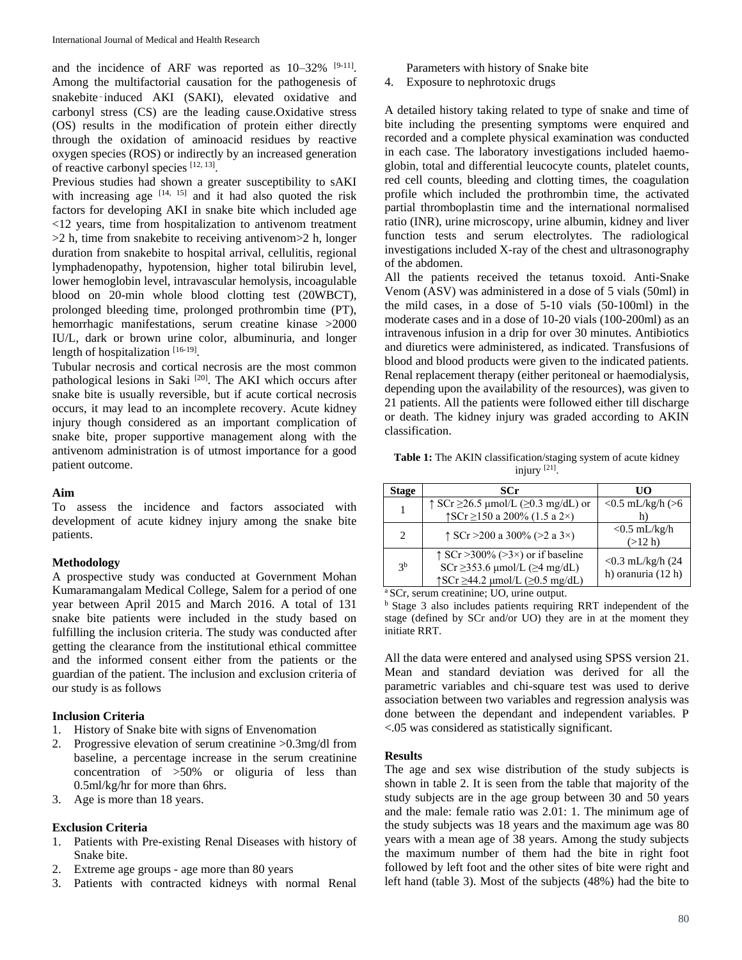and the incidence of ARF was reported as  $10-32\%$  [9-11]. Among the multifactorial causation for the pathogenesis of snakebite-induced AKI (SAKI), elevated oxidative and carbonyl stress (CS) are the leading cause.Oxidative stress (OS) results in the modification of protein either directly through the oxidation of aminoacid residues by reactive oxygen species (ROS) or indirectly by an increased generation of reactive carbonyl species [12, 13].

Previous studies had shown a greater susceptibility to sAKI with increasing age  $[14, 15]$  and it had also quoted the risk factors for developing AKI in snake bite which included age <12 years, time from hospitalization to antivenom treatment >2 h, time from snakebite to receiving antivenom>2 h, longer duration from snakebite to hospital arrival, cellulitis, regional lymphadenopathy, hypotension, higher total bilirubin level, lower hemoglobin level, intravascular hemolysis, incoagulable blood on 20-min whole blood clotting test (20WBCT), prolonged bleeding time, prolonged prothrombin time (PT), hemorrhagic manifestations, serum creatine kinase >2000 IU/L, dark or brown urine color, albuminuria, and longer length of hospitalization [16-19].

Tubular necrosis and cortical necrosis are the most common pathological lesions in Saki <sup>[20]</sup>. The AKI which occurs after snake bite is usually reversible, but if acute cortical necrosis occurs, it may lead to an incomplete recovery. Acute kidney injury though considered as an important complication of snake bite, proper supportive management along with the antivenom administration is of utmost importance for a good patient outcome.

### **Aim**

To assess the incidence and factors associated with development of acute kidney injury among the snake bite patients.

### **Methodology**

A prospective study was conducted at Government Mohan Kumaramangalam Medical College, Salem for a period of one year between April 2015 and March 2016. A total of 131 snake bite patients were included in the study based on fulfilling the inclusion criteria. The study was conducted after getting the clearance from the institutional ethical committee and the informed consent either from the patients or the guardian of the patient. The inclusion and exclusion criteria of our study is as follows

## **Inclusion Criteria**

- 1. History of Snake bite with signs of Envenomation
- 2. Progressive elevation of serum creatinine >0.3mg/dl from baseline, a percentage increase in the serum creatinine concentration of >50% or oliguria of less than 0.5ml/kg/hr for more than 6hrs.
- 3. Age is more than 18 years.

### **Exclusion Criteria**

- 1. Patients with Pre-existing Renal Diseases with history of Snake bite.
- 2. Extreme age groups age more than 80 years
- 3. Patients with contracted kidneys with normal Renal

Parameters with history of Snake bite

4. Exposure to nephrotoxic drugs

A detailed history taking related to type of snake and time of bite including the presenting symptoms were enquired and recorded and a complete physical examination was conducted in each case. The laboratory investigations included haemoglobin, total and differential leucocyte counts, platelet counts, red cell counts, bleeding and clotting times, the coagulation profile which included the prothrombin time, the activated partial thromboplastin time and the international normalised ratio (INR), urine microscopy, urine albumin, kidney and liver function tests and serum electrolytes. The radiological investigations included X-ray of the chest and ultrasonography of the abdomen.

All the patients received the tetanus toxoid. Anti-Snake Venom (ASV) was administered in a dose of 5 vials (50ml) in the mild cases, in a dose of 5-10 vials (50-100ml) in the moderate cases and in a dose of 10-20 vials (100-200ml) as an intravenous infusion in a drip for over 30 minutes. Antibiotics and diuretics were administered, as indicated. Transfusions of blood and blood products were given to the indicated patients. Renal replacement therapy (either peritoneal or haemodialysis, depending upon the availability of the resources), was given to 21 patients. All the patients were followed either till discharge or death. The kidney injury was graded according to AKIN classification.

**Table 1:** The AKIN classification/staging system of acute kidney injury [21] .

| Stage                       | SCr                                                                                                                                                | UO                                         |
|-----------------------------|----------------------------------------------------------------------------------------------------------------------------------------------------|--------------------------------------------|
| 1                           | $\uparrow$ SCr $\geq$ 26.5 µmol/L ( $\geq$ 0.3 mg/dL) or<br>↑SCr ≥150 a 200% (1.5 a 2×)                                                            | $< 0.5$ mL/kg/h ( $> 6$                    |
| $\mathcal{D}_{\mathcal{L}}$ | $\uparrow$ SCr > 200 a 300% (> 2 a 3 ×)                                                                                                            | $<$ 0.5 mL/kg/h<br>(>12 h)                 |
| 3 <sup>b</sup>              | $\uparrow$ SCr > 300% (> 3 ×) or if baseline<br>SCr $\geq$ 353.6 µmol/L ( $\geq$ 4 mg/dL)<br>$\uparrow$ SCr $\geq$ 44.2 µmol/L ( $\geq$ 0.5 mg/dL) | $< 0.3$ mL/kg/h (24)<br>h) oranuria (12 h) |

<sup>a</sup> SCr, serum creatinine; UO, urine output.

<sup>b</sup> Stage 3 also includes patients requiring RRT independent of the stage (defined by SCr and/or UO) they are in at the moment they initiate RRT.

All the data were entered and analysed using SPSS version 21. Mean and standard deviation was derived for all the parametric variables and chi-square test was used to derive association between two variables and regression analysis was done between the dependant and independent variables. P <.05 was considered as statistically significant.

### **Results**

The age and sex wise distribution of the study subjects is shown in table 2. It is seen from the table that majority of the study subjects are in the age group between 30 and 50 years and the male: female ratio was 2.01: 1. The minimum age of the study subjects was 18 years and the maximum age was 80 years with a mean age of 38 years. Among the study subjects the maximum number of them had the bite in right foot followed by left foot and the other sites of bite were right and left hand (table 3). Most of the subjects (48%) had the bite to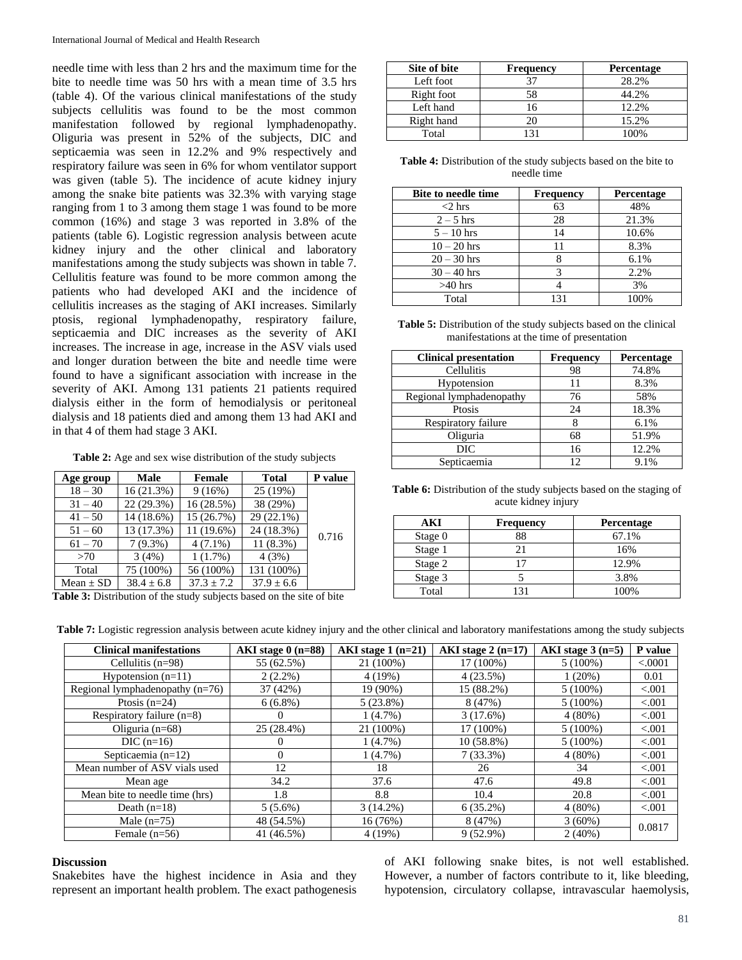needle time with less than 2 hrs and the maximum time for the bite to needle time was 50 hrs with a mean time of 3.5 hrs (table 4). Of the various clinical manifestations of the study subjects cellulitis was found to be the most common manifestation followed by regional lymphadenopathy. Oliguria was present in 52% of the subjects, DIC and septicaemia was seen in 12.2% and 9% respectively and respiratory failure was seen in 6% for whom ventilator support was given (table 5). The incidence of acute kidney injury among the snake bite patients was 32.3% with varying stage ranging from 1 to 3 among them stage 1 was found to be more common (16%) and stage 3 was reported in 3.8% of the patients (table 6). Logistic regression analysis between acute kidney injury and the other clinical and laboratory manifestations among the study subjects was shown in table 7. Cellulitis feature was found to be more common among the patients who had developed AKI and the incidence of cellulitis increases as the staging of AKI increases. Similarly ptosis, regional lymphadenopathy, respiratory failure, septicaemia and DIC increases as the severity of AKI increases. The increase in age, increase in the ASV vials used and longer duration between the bite and needle time were found to have a significant association with increase in the severity of AKI. Among 131 patients 21 patients required dialysis either in the form of hemodialysis or peritoneal dialysis and 18 patients died and among them 13 had AKI and in that 4 of them had stage 3 AKI.

**Table 2:** Age and sex wise distribution of the study subjects

| Age group     | Male           | <b>Female</b>  | <b>Total</b> | P value |
|---------------|----------------|----------------|--------------|---------|
| $18 - 30$     | 16(21.3%)      | 9(16%)         | 25 (19%)     |         |
| $31 - 40$     | 22 (29.3%)     | 16 (28.5%)     | 38 (29%)     |         |
| $41 - 50$     | 14 (18.6%)     | 15 (26.7%)     | 29 (22.1%)   |         |
| $51 - 60$     | 13 (17.3%)     | 11 (19.6%)     | 24 (18.3%)   | 0.716   |
| $61 - 70$     | $7(9.3\%)$     | $4(7.1\%)$     | $11(8.3\%)$  |         |
| >70           | 3(4%)          | 1(1.7%)        | 4(3%)        |         |
| Total         | 75 (100%)      | 56 (100%)      | 131 (100%)   |         |
| Mean $\pm$ SD | $38.4 \pm 6.8$ | $37.3 \pm 7.2$ | $37.9 + 6.6$ |         |

Table 3: Distribution of the study subjects based on the site of bite

| Site of bite | <b>Frequency</b> | <b>Percentage</b> |
|--------------|------------------|-------------------|
| Left foot    | 37               | 28.2%             |
| Right foot   | 58               | 44.2%             |
| Left hand    | 16               | 12.2%             |
| Right hand   |                  | 15.2%             |
| Total        |                  | 100%              |

**Table 4:** Distribution of the study subjects based on the bite to needle time

| <b>Bite to needle time</b> | <b>Frequency</b> | <b>Percentage</b> |
|----------------------------|------------------|-------------------|
| $<$ 2 hrs                  | 63               | 48%               |
| $2 - 5$ hrs                | 28               | 21.3%             |
| $5 - 10$ hrs               | 14               | 10.6%             |
| $10 - 20$ hrs              | 11               | 8.3%              |
| $20 - 30$ hrs              |                  | 6.1%              |
| $30 - 40$ hrs              |                  | 2.2%              |
| $>40$ hrs                  |                  | 3%                |
| Total                      | 131              | 100%              |

**Table 5:** Distribution of the study subjects based on the clinical manifestations at the time of presentation

| <b>Clinical presentation</b> | <b>Frequency</b> | Percentage |
|------------------------------|------------------|------------|
| Cellulitis                   | 98               | 74.8%      |
| Hypotension                  |                  | 8.3%       |
| Regional lymphadenopathy     | 76               | 58%        |
| Ptosis                       | 24               | 18.3%      |
| Respiratory failure          |                  | 6.1%       |
| Oliguria                     | 68               | 51.9%      |
| DIC                          | 16               | 12.2%      |
| Septicaemia                  | 12               | 9.1%       |

Table 6: Distribution of the study subjects based on the staging of acute kidney injury

| AKI     | <b>Frequency</b> | <b>Percentage</b> |
|---------|------------------|-------------------|
| Stage 0 | 88               | 67.1%             |
| Stage 1 |                  | 16%               |
| Stage 2 |                  | 12.9%             |
| Stage 3 |                  | 3.8%              |
| Total   |                  | 100%              |

**Table 7:** Logistic regression analysis between acute kidney injury and the other clinical and laboratory manifestations among the study subjects

| <b>Clinical manifestations</b>     | AKI stage $0$ (n=88) | AKI stage $1$ (n=21) | AKI stage $2(n=17)$ | AKI stage $3(n=5)$ | P value |
|------------------------------------|----------------------|----------------------|---------------------|--------------------|---------|
| Cellulitis $(n=98)$                | 55 (62.5%)           | 21 (100%)            | 17 (100%)           | $5(100\%)$         | < .0001 |
| Hypotension $(n=11)$               | $2(2.2\%)$           | 4(19%)               | 4(23.5%)            | $1(20\%)$          | 0.01    |
| Regional lymphade nopathy $(n=76)$ | 37 (42%)             | 19 (90%)             | 15 (88.2%)          | $5(100\%)$         | < 0.001 |
| Ptosis $(n=24)$                    | $6(6.8\%)$           | $5(23.8\%)$          | 8(47%)              | $5(100\%)$         | < 0.001 |
| Respiratory failure $(n=8)$        | $\theta$             | $1(4.7\%)$           | 3(17.6%)            | $4(80\%)$          | < 0.001 |
| Oliguria $(n=68)$                  | 25 (28.4%)           | 21 (100%)            | 17 (100%)           | $5(100\%)$         | < 0.001 |
| $DIC(n=16)$                        | $\theta$             | 1(4.7%)              | $10(58.8\%)$        | $5(100\%)$         | < 0.001 |
| Septicaemia $(n=12)$               | $\Omega$             | $1(4.7\%)$           | $7(33.3\%)$         | $4(80\%)$          | < 0.001 |
| Mean number of ASV vials used      | 12                   | 18                   | 26                  | 34                 | < 0.001 |
| Mean age                           | 34.2                 | 37.6                 | 47.6                | 49.8               | < 0.001 |
| Mean bite to needle time (hrs)     | 1.8                  | 8.8                  | 10.4                | 20.8               | < 0.001 |
| Death $(n=18)$                     | $5(5.6\%)$           | $3(14.2\%)$          | $6(35.2\%)$         | $4(80\%)$          | < 0.001 |
| Male $(n=75)$                      | 48 (54.5%)           | 16 (76%)             | 8 (47%)             | $3(60\%)$          | 0.0817  |
| Female $(n=56)$                    | 41 (46.5%)           | 4(19%)               | $9(52.9\%)$         | $2(40\%)$          |         |

### **Discussion**

Snakebites have the highest incidence in Asia and they represent an important health problem. The exact pathogenesis

of AKI following snake bites, is not well established. However, a number of factors contribute to it, like bleeding, hypotension, circulatory collapse, intravascular haemolysis,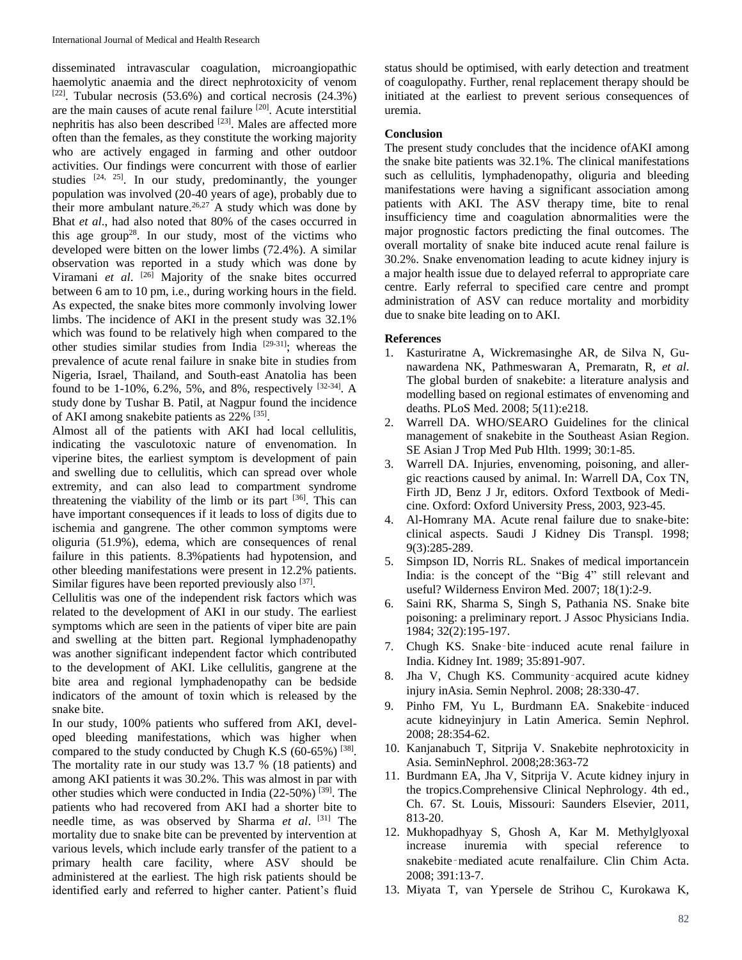disseminated intravascular coagulation, microangiopathic haemolytic anaemia and the direct nephrotoxicity of venom  $[22]$ . Tubular necrosis (53.6%) and cortical necrosis (24.3%) are the main causes of acute renal failure [20]. Acute interstitial nephritis has also been described [23]. Males are affected more often than the females, as they constitute the working majority who are actively engaged in farming and other outdoor activities. Our findings were concurrent with those of earlier studies <sup>[24, 25]</sup>. In our study, predominantly, the younger population was involved (20-40 years of age), probably due to their more ambulant nature.<sup>26,27</sup> A study which was done by Bhat *et al*., had also noted that 80% of the cases occurred in this age group<sup>28</sup>. In our study, most of the victims who developed were bitten on the lower limbs (72.4%). A similar observation was reported in a study which was done by Viramani et al. <sup>[26]</sup> Majority of the snake bites occurred between 6 am to 10 pm, i.e., during working hours in the field. As expected, the snake bites more commonly involving lower limbs. The incidence of AKI in the present study was 32.1% which was found to be relatively high when compared to the other studies similar studies from India [29-31]; whereas the prevalence of acute renal failure in snake bite in studies from Nigeria, Israel, Thailand, and South-east Anatolia has been found to be 1-10%, 6.2%, 5%, and 8%, respectively  $[32-34]$ . A study done by Tushar B. Patil, at Nagpur found the incidence of AKI among snakebite patients as 22% <sup>[35]</sup>.

Almost all of the patients with AKI had local cellulitis, indicating the vasculotoxic nature of envenomation. In viperine bites, the earliest symptom is development of pain and swelling due to cellulitis, which can spread over whole extremity, and can also lead to compartment syndrome threatening the viability of the limb or its part [36]. This can have important consequences if it leads to loss of digits due to ischemia and gangrene. The other common symptoms were oliguria (51.9%), edema, which are consequences of renal failure in this patients. 8.3%patients had hypotension, and other bleeding manifestations were present in 12.2% patients. Similar figures have been reported previously also [37].

Cellulitis was one of the independent risk factors which was related to the development of AKI in our study. The earliest symptoms which are seen in the patients of viper bite are pain and swelling at the bitten part. Regional lymphadenopathy was another significant independent factor which contributed to the development of AKI. Like cellulitis, gangrene at the bite area and regional lymphadenopathy can be bedside indicators of the amount of toxin which is released by the snake bite.

In our study, 100% patients who suffered from AKI, developed bleeding manifestations, which was higher when compared to the study conducted by Chugh K.S  $(60-65%)$  [38]. The mortality rate in our study was 13.7 % (18 patients) and among AKI patients it was 30.2%. This was almost in par with other studies which were conducted in India (22-50%)  $^{[39]}$ . The patients who had recovered from AKI had a shorter bite to needle time, as was observed by Sharma *et al*. [31] The mortality due to snake bite can be prevented by intervention at various levels, which include early transfer of the patient to a primary health care facility, where ASV should be administered at the earliest. The high risk patients should be identified early and referred to higher canter. Patient's fluid

status should be optimised, with early detection and treatment of coagulopathy. Further, renal replacement therapy should be initiated at the earliest to prevent serious consequences of uremia.

#### **Conclusion**

The present study concludes that the incidence ofAKI among the snake bite patients was 32.1%. The clinical manifestations such as cellulitis, lymphadenopathy, oliguria and bleeding manifestations were having a significant association among patients with AKI. The ASV therapy time, bite to renal insufficiency time and coagulation abnormalities were the major prognostic factors predicting the final outcomes. The overall mortality of snake bite induced acute renal failure is 30.2%. Snake envenomation leading to acute kidney injury is a major health issue due to delayed referral to appropriate care centre. Early referral to specified care centre and prompt administration of ASV can reduce mortality and morbidity due to snake bite leading on to AKI.

#### **References**

- 1. Kasturiratne A, Wickremasinghe AR, de Silva N, Gunawardena NK, Pathmeswaran A, Premaratn, R, *et al*. The global burden of snakebite: a literature analysis and modelling based on regional estimates of envenoming and deaths. PLoS Med. 2008; 5(11):e218.
- 2. Warrell DA. WHO/SEARO Guidelines for the clinical management of snakebite in the Southeast Asian Region. SE Asian J Trop Med Pub Hlth. 1999; 30:1-85.
- 3. Warrell DA. Injuries, envenoming, poisoning, and allergic reactions caused by animal. In: Warrell DA, Cox TN, Firth JD, Benz J Jr, editors. Oxford Textbook of Medicine. Oxford: Oxford University Press, 2003, 923-45.
- 4. Al-Homrany MA. Acute renal failure due to snake-bite: clinical aspects. Saudi J Kidney Dis Transpl. 1998; 9(3):285-289.
- 5. Simpson ID, Norris RL. Snakes of medical importancein India: is the concept of the "Big 4" still relevant and useful? Wilderness Environ Med. 2007; 18(1):2-9.
- 6. Saini RK, Sharma S, Singh S, Pathania NS. Snake bite poisoning: a preliminary report. J Assoc Physicians India. 1984; 32(2):195-197.
- 7. Chugh KS. Snake‑bite‑induced acute renal failure in India. Kidney Int. 1989; 35:891-907.
- 8. Jha V, Chugh KS. Community‑acquired acute kidney injury inAsia. Semin Nephrol. 2008; 28:330-47.
- 9. Pinho FM, Yu L, Burdmann EA. Snakebite-induced acute kidneyinjury in Latin America. Semin Nephrol. 2008; 28:354-62.
- 10. Kanjanabuch T, Sitprija V. Snakebite nephrotoxicity in Asia. SeminNephrol. 2008;28:363-72
- 11. Burdmann EA, Jha V, Sitprija V. Acute kidney injury in the tropics.Comprehensive Clinical Nephrology. 4th ed., Ch. 67. St. Louis, Missouri: Saunders Elsevier, 2011, 813-20.
- 12. Mukhopadhyay S, Ghosh A, Kar M. Methylglyoxal increase inuremia with special reference to snakebite‑mediated acute renalfailure. Clin Chim Acta. 2008; 391:13-7.
- 13. Miyata T, van Ypersele de Strihou C, Kurokawa K,